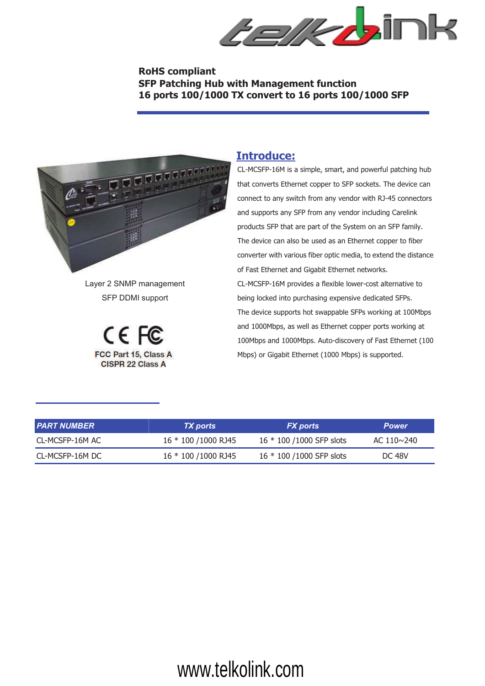

#### **RoHS compliant SFP Patching Hub with Management function 16 ports 100/1000 TX convert to 16 ports 100/1000 SFP**



Layer 2 SNMP management SFP DDMI support



#### **Introduce:**

CL-MCSFP-16M is a simple, smart, and powerful patching hub that converts Ethernet copper to SFP sockets. The device can connect to any switch from any vendor with RJ-45 connectors and supports any SFP from any vendor including Carelink products SFP that are part of the System on an SFP family. The device can also be used as an Ethernet copper to fiber converter with various fiber optic media, to extend the distance of Fast Ethernet and Gigabit Ethernet networks. CL-MCSFP-16M provides a flexible lower-cost alternative to being locked into purchasing expensive dedicated SFPs. The device supports hot swappable SFPs working at 100Mbps and 1000Mbps, as well as Ethernet copper ports working at 100Mbps and 1000Mbps. Auto-discovery of Fast Ethernet (100 Mbps) or Gigabit Ethernet (1000 Mbps) is supported.

| I PART NUMBER   | <b>TX</b> ports       | <b>FX</b> ports           | <b>Power</b>      |
|-----------------|-----------------------|---------------------------|-------------------|
| CL-MCSFP-16M AC | 16 * 100 /1000 RJ45   | 16 * 100 /1000 SFP slots  | AC $110 \sim 240$ |
| CL-MCSFP-16M DC | 16 * 100 / 1000 RJ 45 | 16 * 100 / 1000 SFP slots | <b>DC 48V</b>     |

## www.telkolink.com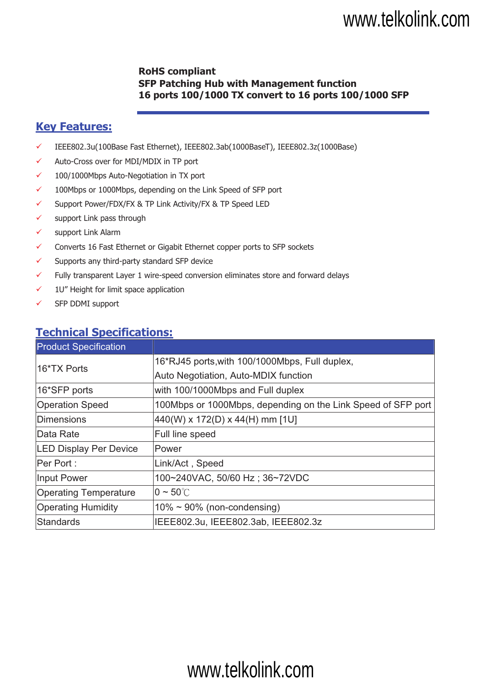## www.telkolink.com

### **RoHS compliant SFP Patching Hub with Management function 16 ports 100/1000 TX convert to 16 ports 100/1000 SFP**

## **Key Features:**

- ! IEEE802.3u(100Base Fast Ethernet), IEEE802.3ab(1000BaseT), IEEE802.3z(1000Base)
- $\checkmark$  Auto-Cross over for MDI/MDIX in TP port
- $\checkmark$  100/1000Mbps Auto-Negotiation in TX port
- $\checkmark$  100Mbps or 1000Mbps, depending on the Link Speed of SFP port
- ! Support Power/FDX/FX & TP Link Activity/FX & TP Speed LED
- $\checkmark$  support Link pass through
- $\checkmark$  support Link Alarm
- $\checkmark$  Converts 16 Fast Ethernet or Gigabit Ethernet copper ports to SFP sockets
- $\checkmark$  Supports any third-party standard SFP device
- $\checkmark$  Fully transparent Layer 1 wire-speed conversion eliminates store and forward delays
- $\checkmark$  1U" Height for limit space application
- $\checkmark$  SFP DDMI support

## **Technical Specifications:**

| <b>Product Specification</b>  |                                                              |  |
|-------------------------------|--------------------------------------------------------------|--|
| 16*TX Ports                   | 16*RJ45 ports, with 100/1000Mbps, Full duplex,               |  |
|                               | Auto Negotiation, Auto-MDIX function                         |  |
| 16*SFP ports                  | with 100/1000Mbps and Full duplex                            |  |
| <b>Operation Speed</b>        | 100Mbps or 1000Mbps, depending on the Link Speed of SFP port |  |
| Dimensions                    | $440(W)$ x 172(D) x 44(H) mm [1U]                            |  |
| Data Rate                     | Full line speed                                              |  |
| <b>LED Display Per Device</b> | Power                                                        |  |
| Per Port:                     | Link/Act, Speed                                              |  |
| <b>Input Power</b>            | 100~240VAC, 50/60 Hz; 36~72VDC                               |  |
| <b>Operating Temperature</b>  | $0 \sim 50^{\circ}$ C                                        |  |
| <b>Operating Humidity</b>     | $10\% \sim 90\%$ (non-condensing)                            |  |
| Standards                     | IEEE802.3u, IEEE802.3ab, IEEE802.3z                          |  |

# www.telkolink.com